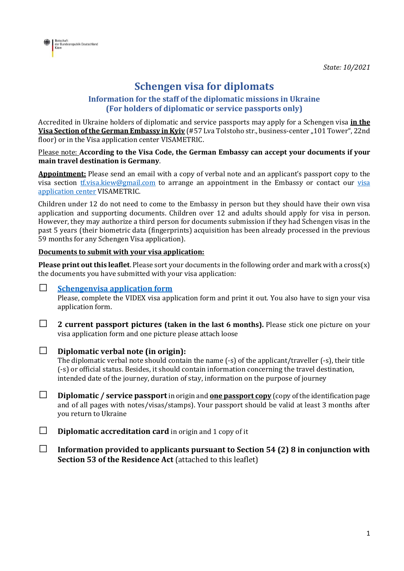

# **Schengen visa for diplomats**

### **Information for the staff of the diplomatic missions in Ukraine (For holders of diplomatic or service passports only)**

Accredited in Ukraine holders of diplomatic and service passports may apply for a Schengen visa **in the Visa Section of the German Embassy in Kyiv** (#57 Lva Tolstoho str., business-center "101 Tower", 22nd floor) or in the Visa application center VISAMETRIC.

#### Please note: **According to the Visa Code, the German Embassy can accept your documents if your main travel destination is Germany**.

**Appointment:** Please send an email with a copy of verbal note and an applicant's passport copy to the [visa](https://www.visametric.com/Ukraine/Germany/en) section *tf.visa.kiew@gmail.com* to arrange an appointment in the Embassy or contact our visa [application center](https://www.visametric.com/Ukraine/Germany/en) VISAMETRIC.

Children under 12 do not need to come to the Embassy in person but they should have their own visa application and supporting documents. Children over 12 and adults should apply for visa in person. However, they may authorize a third person for documents submission if they had Schengen visas in the past 5 years (their biometric data (fingerprints) acquisition has been already processed in the previous 59 months for any Schengen Visa application).

#### **Documents to submit with your visa application:**

**Please print out this leaflet**. Please sort your documents in the following order and mark with a cross(x) the documents you have submitted with your visa application:

#### • **[Schengenvisa application form](https://videx.diplo.de/videx/desktop/index.html#start)**

Please, complete the VIDEX visa application form and print it out. You also have to sign your visa application form.

• **2 current passport pictures (taken in the last 6 months).** Please stick one picture on your visa application form and one picture please attach loose

### • **Diplomatic verbal note (in origin):**

The diplomatic verbal note should contain the name (-s) of the applicant/traveller (-s), their title (-s) or official status. Besides, it should contain information concerning the travel destination, intended date of the journey, duration of stay, information on the purpose of journey

- **Diplomatic / service passport**in origin and **one passport copy** (copy of the identification page and of all pages with notes/visas/stamps). Your passport should be valid at least 3 months after you return to Ukraine
- **Diplomatic accreditation card** in origin and 1 copy of it
- **Information provided to applicants pursuant to Section 54 (2) 8 in conjunction with Section 53 of the Residence Act** (attached to this leaflet)